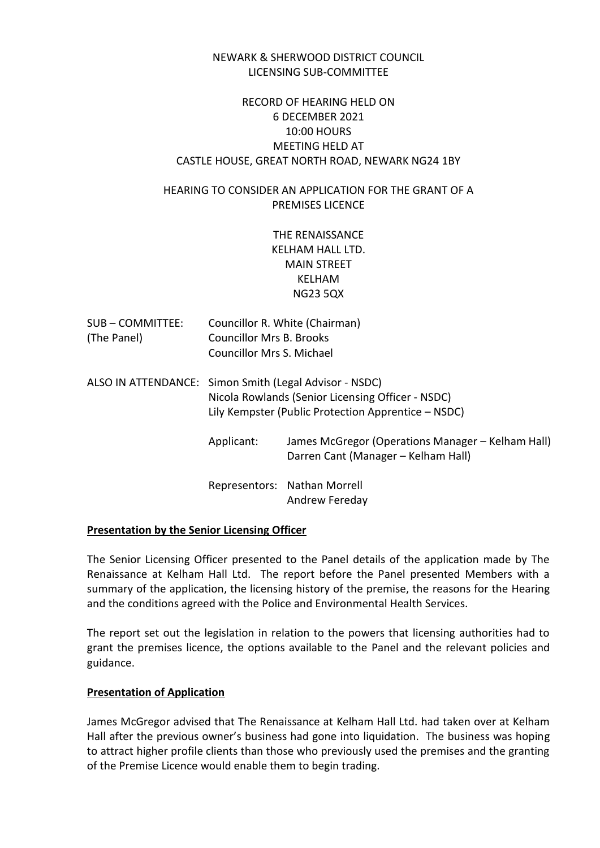### NEWARK & SHERWOOD DISTRICT COUNCIL LICENSING SUB-COMMITTEE

# RECORD OF HEARING HELD ON 6 DECEMBER 2021 10:00 HOURS MEETING HELD AT CASTLE HOUSE, GREAT NORTH ROAD, NEWARK NG24 1BY

# HEARING TO CONSIDER AN APPLICATION FOR THE GRANT OF A PREMISES LICENCE

THE RENAISSANCE KELHAM HALL LTD. MAIN STREET KELHAM NG23 5QX

| SUB – COMMITTEE: | Councillor R. White (Chairman)  |
|------------------|---------------------------------|
| (The Panel)      | <b>Councillor Mrs B. Brooks</b> |
|                  | Councillor Mrs S. Michael       |

- ALSO IN ATTENDANCE: Simon Smith (Legal Advisor NSDC) Nicola Rowlands (Senior Licensing Officer - NSDC) Lily Kempster (Public Protection Apprentice – NSDC)
	- Applicant: James McGregor (Operations Manager Kelham Hall) Darren Cant (Manager – Kelham Hall)

Representors: Nathan Morrell Andrew Fereday

# **Presentation by the Senior Licensing Officer**

The Senior Licensing Officer presented to the Panel details of the application made by The Renaissance at Kelham Hall Ltd. The report before the Panel presented Members with a summary of the application, the licensing history of the premise, the reasons for the Hearing and the conditions agreed with the Police and Environmental Health Services.

The report set out the legislation in relation to the powers that licensing authorities had to grant the premises licence, the options available to the Panel and the relevant policies and guidance.

# **Presentation of Application**

James McGregor advised that The Renaissance at Kelham Hall Ltd. had taken over at Kelham Hall after the previous owner's business had gone into liquidation. The business was hoping to attract higher profile clients than those who previously used the premises and the granting of the Premise Licence would enable them to begin trading.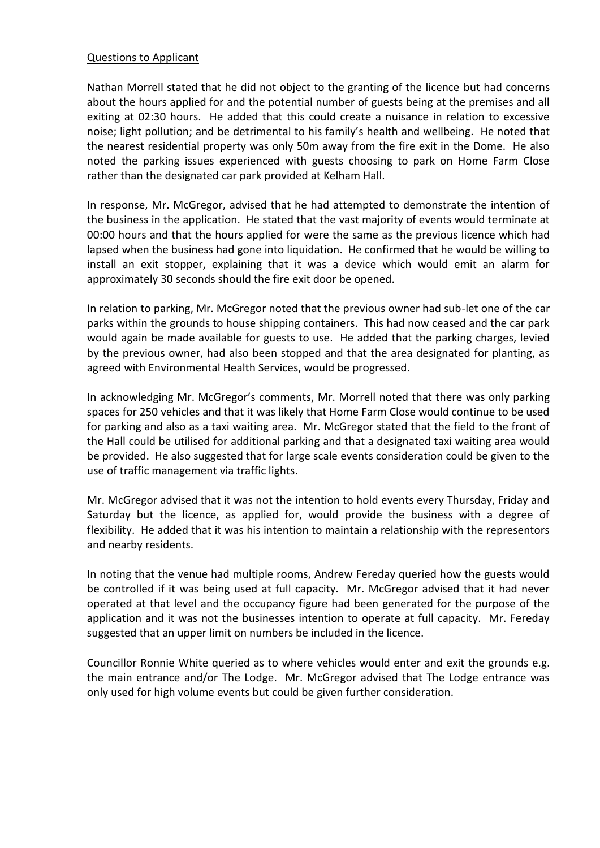### Questions to Applicant

Nathan Morrell stated that he did not object to the granting of the licence but had concerns about the hours applied for and the potential number of guests being at the premises and all exiting at 02:30 hours. He added that this could create a nuisance in relation to excessive noise; light pollution; and be detrimental to his family's health and wellbeing. He noted that the nearest residential property was only 50m away from the fire exit in the Dome. He also noted the parking issues experienced with guests choosing to park on Home Farm Close rather than the designated car park provided at Kelham Hall.

In response, Mr. McGregor, advised that he had attempted to demonstrate the intention of the business in the application. He stated that the vast majority of events would terminate at 00:00 hours and that the hours applied for were the same as the previous licence which had lapsed when the business had gone into liquidation. He confirmed that he would be willing to install an exit stopper, explaining that it was a device which would emit an alarm for approximately 30 seconds should the fire exit door be opened.

In relation to parking, Mr. McGregor noted that the previous owner had sub-let one of the car parks within the grounds to house shipping containers. This had now ceased and the car park would again be made available for guests to use. He added that the parking charges, levied by the previous owner, had also been stopped and that the area designated for planting, as agreed with Environmental Health Services, would be progressed.

In acknowledging Mr. McGregor's comments, Mr. Morrell noted that there was only parking spaces for 250 vehicles and that it was likely that Home Farm Close would continue to be used for parking and also as a taxi waiting area. Mr. McGregor stated that the field to the front of the Hall could be utilised for additional parking and that a designated taxi waiting area would be provided. He also suggested that for large scale events consideration could be given to the use of traffic management via traffic lights.

Mr. McGregor advised that it was not the intention to hold events every Thursday, Friday and Saturday but the licence, as applied for, would provide the business with a degree of flexibility. He added that it was his intention to maintain a relationship with the representors and nearby residents.

In noting that the venue had multiple rooms, Andrew Fereday queried how the guests would be controlled if it was being used at full capacity. Mr. McGregor advised that it had never operated at that level and the occupancy figure had been generated for the purpose of the application and it was not the businesses intention to operate at full capacity. Mr. Fereday suggested that an upper limit on numbers be included in the licence.

Councillor Ronnie White queried as to where vehicles would enter and exit the grounds e.g. the main entrance and/or The Lodge. Mr. McGregor advised that The Lodge entrance was only used for high volume events but could be given further consideration.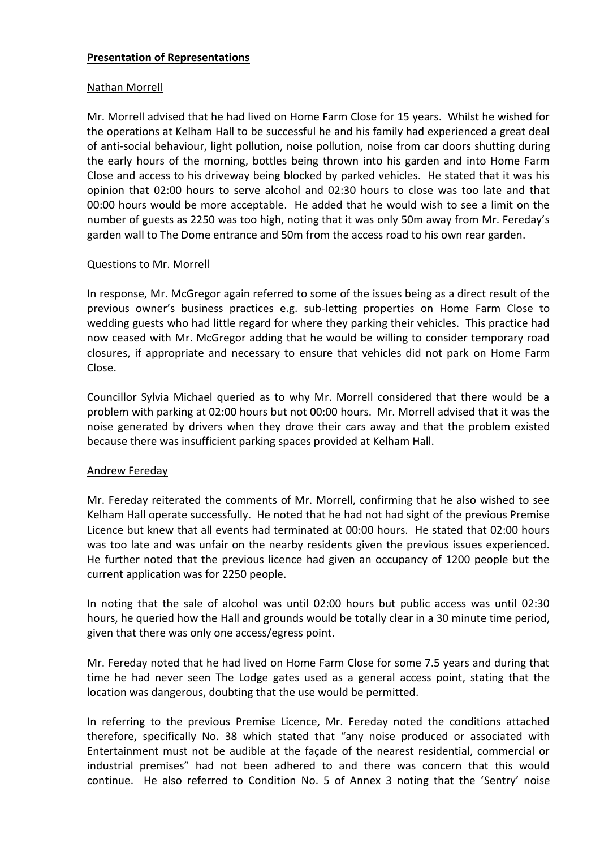### **Presentation of Representations**

### Nathan Morrell

Mr. Morrell advised that he had lived on Home Farm Close for 15 years. Whilst he wished for the operations at Kelham Hall to be successful he and his family had experienced a great deal of anti-social behaviour, light pollution, noise pollution, noise from car doors shutting during the early hours of the morning, bottles being thrown into his garden and into Home Farm Close and access to his driveway being blocked by parked vehicles. He stated that it was his opinion that 02:00 hours to serve alcohol and 02:30 hours to close was too late and that 00:00 hours would be more acceptable. He added that he would wish to see a limit on the number of guests as 2250 was too high, noting that it was only 50m away from Mr. Fereday's garden wall to The Dome entrance and 50m from the access road to his own rear garden.

### Questions to Mr. Morrell

In response, Mr. McGregor again referred to some of the issues being as a direct result of the previous owner's business practices e.g. sub-letting properties on Home Farm Close to wedding guests who had little regard for where they parking their vehicles. This practice had now ceased with Mr. McGregor adding that he would be willing to consider temporary road closures, if appropriate and necessary to ensure that vehicles did not park on Home Farm Close.

Councillor Sylvia Michael queried as to why Mr. Morrell considered that there would be a problem with parking at 02:00 hours but not 00:00 hours. Mr. Morrell advised that it was the noise generated by drivers when they drove their cars away and that the problem existed because there was insufficient parking spaces provided at Kelham Hall.

#### Andrew Fereday

Mr. Fereday reiterated the comments of Mr. Morrell, confirming that he also wished to see Kelham Hall operate successfully. He noted that he had not had sight of the previous Premise Licence but knew that all events had terminated at 00:00 hours. He stated that 02:00 hours was too late and was unfair on the nearby residents given the previous issues experienced. He further noted that the previous licence had given an occupancy of 1200 people but the current application was for 2250 people.

In noting that the sale of alcohol was until 02:00 hours but public access was until 02:30 hours, he queried how the Hall and grounds would be totally clear in a 30 minute time period, given that there was only one access/egress point.

Mr. Fereday noted that he had lived on Home Farm Close for some 7.5 years and during that time he had never seen The Lodge gates used as a general access point, stating that the location was dangerous, doubting that the use would be permitted.

In referring to the previous Premise Licence, Mr. Fereday noted the conditions attached therefore, specifically No. 38 which stated that "any noise produced or associated with Entertainment must not be audible at the façade of the nearest residential, commercial or industrial premises" had not been adhered to and there was concern that this would continue. He also referred to Condition No. 5 of Annex 3 noting that the 'Sentry' noise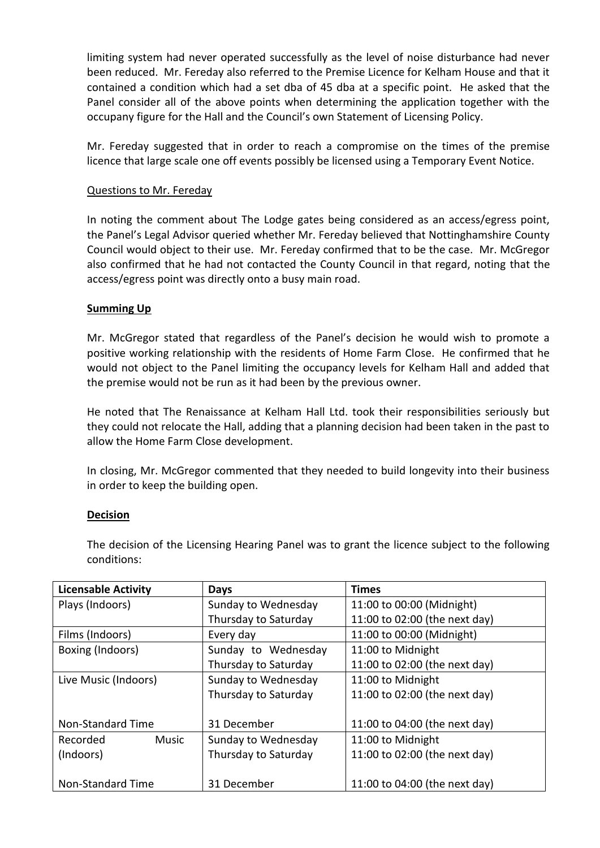limiting system had never operated successfully as the level of noise disturbance had never been reduced. Mr. Fereday also referred to the Premise Licence for Kelham House and that it contained a condition which had a set dba of 45 dba at a specific point. He asked that the Panel consider all of the above points when determining the application together with the occupany figure for the Hall and the Council's own Statement of Licensing Policy.

Mr. Fereday suggested that in order to reach a compromise on the times of the premise licence that large scale one off events possibly be licensed using a Temporary Event Notice.

### Questions to Mr. Fereday

In noting the comment about The Lodge gates being considered as an access/egress point, the Panel's Legal Advisor queried whether Mr. Fereday believed that Nottinghamshire County Council would object to their use. Mr. Fereday confirmed that to be the case. Mr. McGregor also confirmed that he had not contacted the County Council in that regard, noting that the access/egress point was directly onto a busy main road.

#### **Summing Up**

Mr. McGregor stated that regardless of the Panel's decision he would wish to promote a positive working relationship with the residents of Home Farm Close. He confirmed that he would not object to the Panel limiting the occupancy levels for Kelham Hall and added that the premise would not be run as it had been by the previous owner.

He noted that The Renaissance at Kelham Hall Ltd. took their responsibilities seriously but they could not relocate the Hall, adding that a planning decision had been taken in the past to allow the Home Farm Close development.

In closing, Mr. McGregor commented that they needed to build longevity into their business in order to keep the building open.

# **Decision**

The decision of the Licensing Hearing Panel was to grant the licence subject to the following conditions:

| <b>Licensable Activity</b> | <b>Days</b>          | <b>Times</b>                  |
|----------------------------|----------------------|-------------------------------|
| Plays (Indoors)            | Sunday to Wednesday  | 11:00 to 00:00 (Midnight)     |
|                            | Thursday to Saturday | 11:00 to 02:00 (the next day) |
| Films (Indoors)            | Every day            | 11:00 to 00:00 (Midnight)     |
| Boxing (Indoors)           | Sunday to Wednesday  | 11:00 to Midnight             |
|                            | Thursday to Saturday | 11:00 to 02:00 (the next day) |
| Live Music (Indoors)       | Sunday to Wednesday  | 11:00 to Midnight             |
|                            | Thursday to Saturday | 11:00 to 02:00 (the next day) |
|                            |                      |                               |
| Non-Standard Time          | 31 December          | 11:00 to 04:00 (the next day) |
| <b>Music</b><br>Recorded   | Sunday to Wednesday  | 11:00 to Midnight             |
| (Indoors)                  | Thursday to Saturday | 11:00 to 02:00 (the next day) |
|                            |                      |                               |
| Non-Standard Time          | 31 December          | 11:00 to 04:00 (the next day) |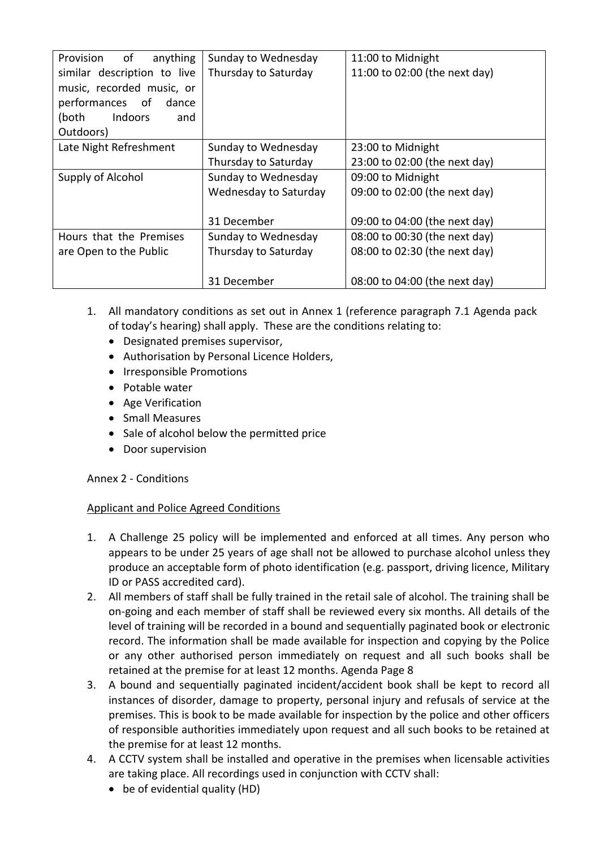| of<br>anything<br>Provision    | Sunday to Wednesday   | 11:00 to Midnight             |
|--------------------------------|-----------------------|-------------------------------|
| similar description to live    | Thursday to Saturday  | 11:00 to 02:00 (the next day) |
| music, recorded music, or      |                       |                               |
| performances of<br>dance       |                       |                               |
| <b>Indoors</b><br>(both<br>and |                       |                               |
| Outdoors)                      |                       |                               |
| Late Night Refreshment         | Sunday to Wednesday   | 23:00 to Midnight             |
|                                | Thursday to Saturday  | 23:00 to 02:00 (the next day) |
| Supply of Alcohol              | Sunday to Wednesday   | 09:00 to Midnight             |
|                                | Wednesday to Saturday | 09:00 to 02:00 (the next day) |
|                                |                       |                               |
|                                | 31 December           | 09:00 to 04:00 (the next day) |
| Hours that the Premises        | Sunday to Wednesday   | 08:00 to 00:30 (the next day) |
| are Open to the Public         | Thursday to Saturday  | 08:00 to 02:30 (the next day) |
|                                |                       |                               |
|                                | 31 December           | 08:00 to 04:00 (the next day) |

- 1. All mandatory conditions as set out in Annex 1 (reference paragraph 7.1 Agenda pack of today's hearing) shall apply. These are the conditions relating to:
	- Designated premises supervisor,
	- Authorisation by Personal Licence Holders,
	- Irresponsible Promotions
	- Potable water
	- Age Verification
	- Small Measures
	- Sale of alcohol below the permitted price
	- Door supervision

# Annex 2 - Conditions

# Applicant and Police Agreed Conditions

- 1. A Challenge 25 policy will be implemented and enforced at all times. Any person who appears to be under 25 years of age shall not be allowed to purchase alcohol unless they produce an acceptable form of photo identification (e.g. passport, driving licence, Military ID or PASS accredited card).
- 2. All members of staff shall be fully trained in the retail sale of alcohol. The training shall be on-going and each member of staff shall be reviewed every six months. All details of the level of training will be recorded in a bound and sequentially paginated book or electronic record. The information shall be made available for inspection and copying by the Police or any other authorised person immediately on request and all such books shall be retained at the premise for at least 12 months. Agenda Page 8
- 3. A bound and sequentially paginated incident/accident book shall be kept to record all instances of disorder, damage to property, personal injury and refusals of service at the premises. This is book to be made available for inspection by the police and other officers of responsible authorities immediately upon request and all such books to be retained at the premise for at least 12 months.
- 4. A CCTV system shall be installed and operative in the premises when licensable activities are taking place. All recordings used in conjunction with CCTV shall:
	- be of evidential quality (HD)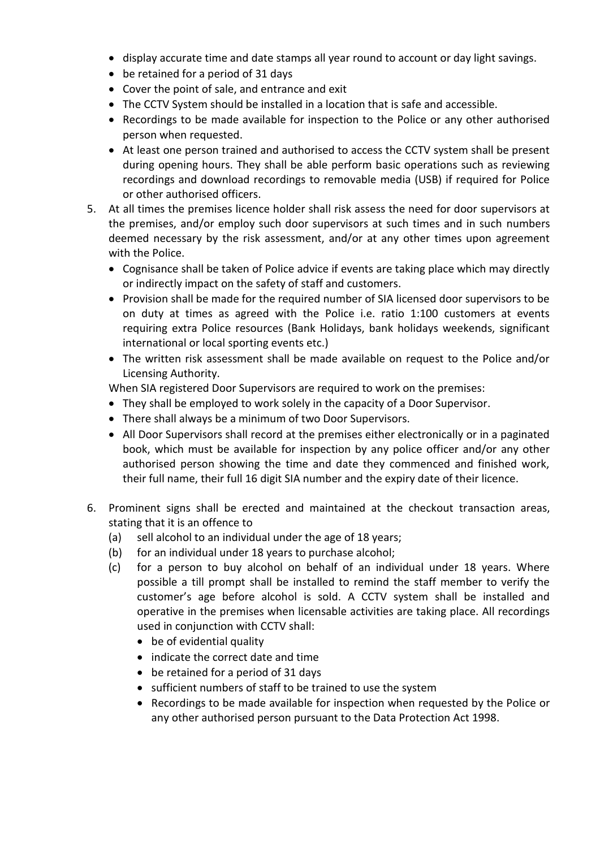- display accurate time and date stamps all year round to account or day light savings.
- be retained for a period of 31 days
- Cover the point of sale, and entrance and exit
- The CCTV System should be installed in a location that is safe and accessible.
- Recordings to be made available for inspection to the Police or any other authorised person when requested.
- At least one person trained and authorised to access the CCTV system shall be present during opening hours. They shall be able perform basic operations such as reviewing recordings and download recordings to removable media (USB) if required for Police or other authorised officers.
- 5. At all times the premises licence holder shall risk assess the need for door supervisors at the premises, and/or employ such door supervisors at such times and in such numbers deemed necessary by the risk assessment, and/or at any other times upon agreement with the Police.
	- Cognisance shall be taken of Police advice if events are taking place which may directly or indirectly impact on the safety of staff and customers.
	- Provision shall be made for the required number of SIA licensed door supervisors to be on duty at times as agreed with the Police i.e. ratio 1:100 customers at events requiring extra Police resources (Bank Holidays, bank holidays weekends, significant international or local sporting events etc.)
	- The written risk assessment shall be made available on request to the Police and/or Licensing Authority.

When SIA registered Door Supervisors are required to work on the premises:

- They shall be employed to work solely in the capacity of a Door Supervisor.
- There shall always be a minimum of two Door Supervisors.
- All Door Supervisors shall record at the premises either electronically or in a paginated book, which must be available for inspection by any police officer and/or any other authorised person showing the time and date they commenced and finished work, their full name, their full 16 digit SIA number and the expiry date of their licence.
- 6. Prominent signs shall be erected and maintained at the checkout transaction areas, stating that it is an offence to
	- (a) sell alcohol to an individual under the age of 18 years;
	- (b) for an individual under 18 years to purchase alcohol;
	- (c) for a person to buy alcohol on behalf of an individual under 18 years. Where possible a till prompt shall be installed to remind the staff member to verify the customer's age before alcohol is sold. A CCTV system shall be installed and operative in the premises when licensable activities are taking place. All recordings used in conjunction with CCTV shall:
		- be of evidential quality
		- indicate the correct date and time
		- be retained for a period of 31 days
		- sufficient numbers of staff to be trained to use the system
		- Recordings to be made available for inspection when requested by the Police or any other authorised person pursuant to the Data Protection Act 1998.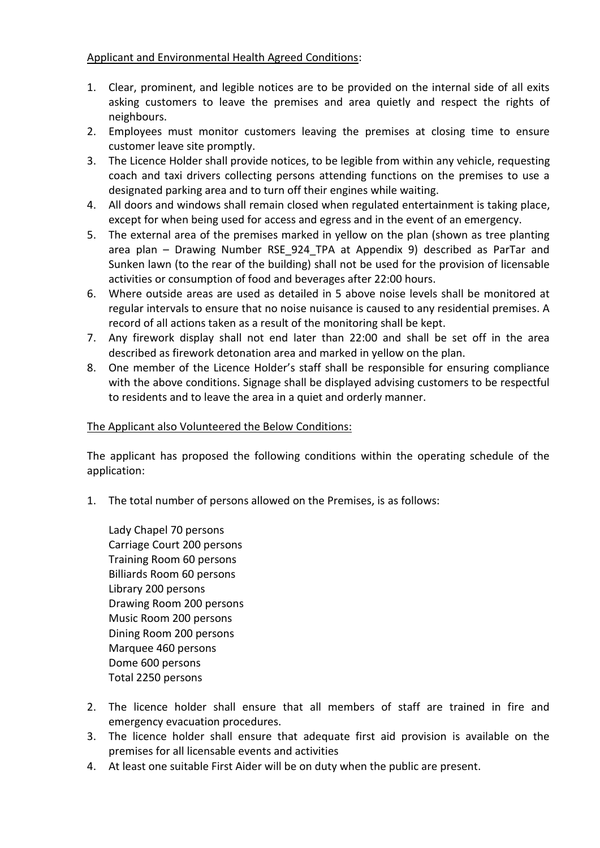# Applicant and Environmental Health Agreed Conditions:

- 1. Clear, prominent, and legible notices are to be provided on the internal side of all exits asking customers to leave the premises and area quietly and respect the rights of neighbours.
- 2. Employees must monitor customers leaving the premises at closing time to ensure customer leave site promptly.
- 3. The Licence Holder shall provide notices, to be legible from within any vehicle, requesting coach and taxi drivers collecting persons attending functions on the premises to use a designated parking area and to turn off their engines while waiting.
- 4. All doors and windows shall remain closed when regulated entertainment is taking place, except for when being used for access and egress and in the event of an emergency.
- 5. The external area of the premises marked in yellow on the plan (shown as tree planting area plan – Drawing Number RSE\_924\_TPA at Appendix 9) described as ParTar and Sunken lawn (to the rear of the building) shall not be used for the provision of licensable activities or consumption of food and beverages after 22:00 hours.
- 6. Where outside areas are used as detailed in 5 above noise levels shall be monitored at regular intervals to ensure that no noise nuisance is caused to any residential premises. A record of all actions taken as a result of the monitoring shall be kept.
- 7. Any firework display shall not end later than 22:00 and shall be set off in the area described as firework detonation area and marked in yellow on the plan.
- 8. One member of the Licence Holder's staff shall be responsible for ensuring compliance with the above conditions. Signage shall be displayed advising customers to be respectful to residents and to leave the area in a quiet and orderly manner.

# The Applicant also Volunteered the Below Conditions:

The applicant has proposed the following conditions within the operating schedule of the application:

- 1. The total number of persons allowed on the Premises, is as follows:
	- Lady Chapel 70 persons Carriage Court 200 persons Training Room 60 persons Billiards Room 60 persons Library 200 persons Drawing Room 200 persons Music Room 200 persons Dining Room 200 persons Marquee 460 persons Dome 600 persons Total 2250 persons
- 2. The licence holder shall ensure that all members of staff are trained in fire and emergency evacuation procedures.
- 3. The licence holder shall ensure that adequate first aid provision is available on the premises for all licensable events and activities
- 4. At least one suitable First Aider will be on duty when the public are present.